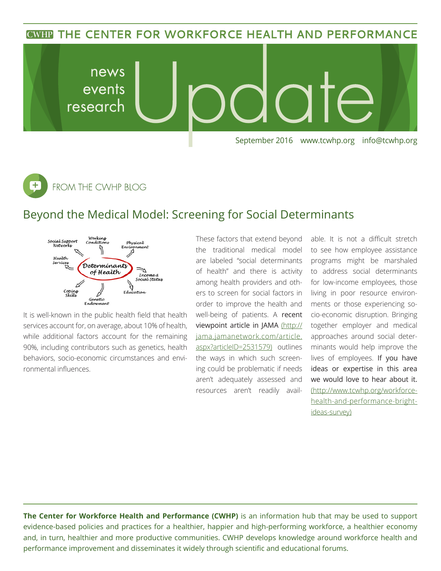**CWHP THE CENTER FOR WORKFORCE HEALTH AND PERFORMANCE** 



 $\overline{t}$ FROM THE CWHP BLOG

## Beyond the Medical Model: Screening for Social Determinants



It is well-known in the public health field that health services account for, on average, about 10% of health, while additional factors account for the remaining 90%, including contributors such as genetics, health behaviors, socio-economic circumstances and environmental influences.

These factors that extend beyond the traditional medical model are labeled "social determinants of health" and there is activity among health providers and others to screen for social factors in order to improve the health and well-being of patients. A recent viewpoint article in JAMA (http:// jama.jamanetwork.com/article. aspx?articleID=2531579) outlines the ways in which such screening could be problematic if needs aren't adequately assessed and resources aren't readily avail-

able. It is not a difficult stretch to see how employee assistance programs might be marshaled to address social determinants for low-income employees, those living in poor resource environments or those experiencing socio-economic disruption. Bringing together employer and medical approaches around social determinants would help improve the lives of employees. If you have ideas or expertise in this area we would love to hear about it. (http://www.tcwhp.org/workforcehealth-and-performance-brightideas-survey)

**The Center for Workforce Health and Performance (CWHP)** is an information hub that may be used to support evidence-based policies and practices for a healthier, happier and high-performing workforce, a healthier economy and, in turn, healthier and more productive communities. CWHP develops knowledge around workforce health and performance improvement and disseminates it widely through scientific and educational forums.